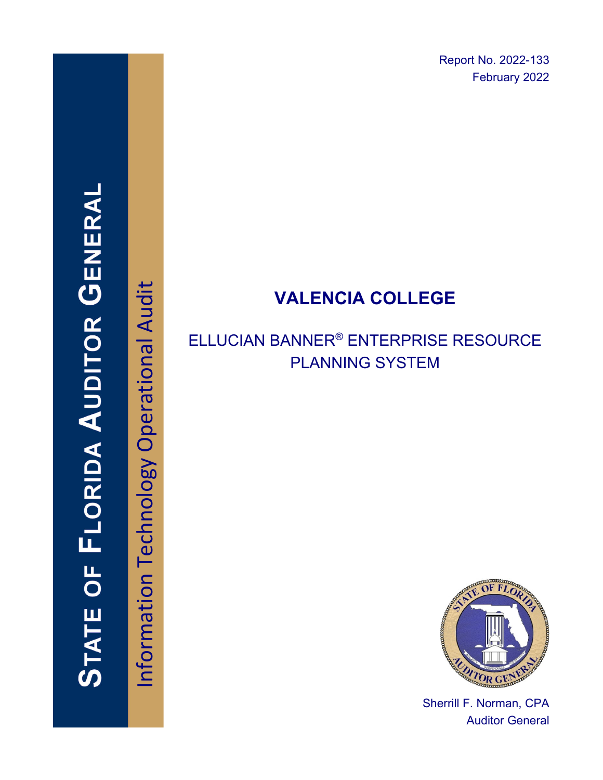Report No. 2022-133 February 2022

# **VALENCIA COLLEGE**

# ELLUCIAN BANNER® ENTERPRISE RESOURCE PLANNING SYSTEM



Sherrill F. Norman, CPA Auditor General

Information Technology Operational Audit Information Technology Operational Audit

**STATE OF FLORIDA AUDITOR GENERAI**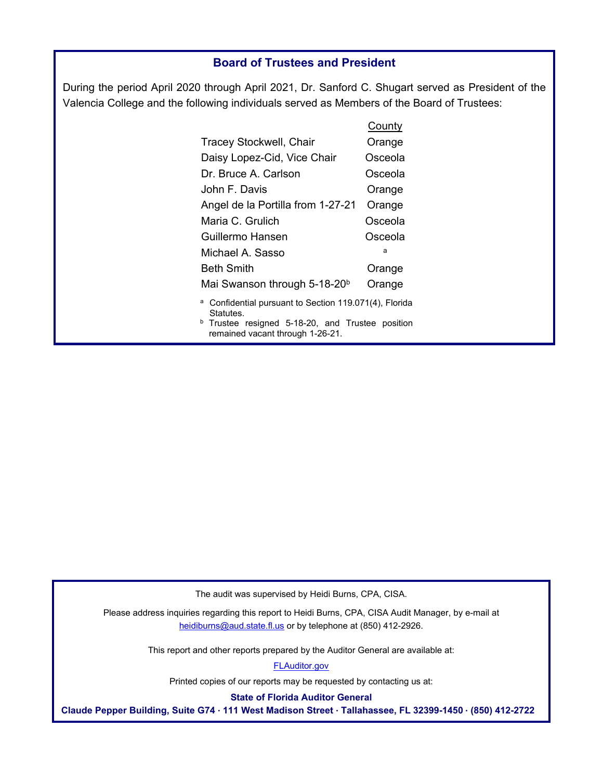### **Board of Trustees and President**

During the period April 2020 through April 2021, Dr. Sanford C. Shugart served as President of the Valencia College and the following individuals served as Members of the Board of Trustees:

|                                                                                                 | <b>County</b> |
|-------------------------------------------------------------------------------------------------|---------------|
| <b>Tracey Stockwell, Chair</b>                                                                  | Orange        |
| Daisy Lopez-Cid, Vice Chair                                                                     | Osceola       |
| Dr. Bruce A. Carlson                                                                            | Osceola       |
| John F. Davis                                                                                   | Orange        |
| Angel de la Portilla from 1-27-21                                                               | Orange        |
| Maria C. Grulich                                                                                | Osceola       |
| Guillermo Hansen                                                                                | Osceola       |
| Michael A. Sasso                                                                                | a             |
| <b>Beth Smith</b>                                                                               | Orange        |
| Mai Swanson through 5-18-20 <sup>b</sup>                                                        | Orange        |
| Confidential pursuant to Section 119.071(4), Florida<br>а<br>Statutes.                          |               |
| <sup>b</sup> Trustee resigned 5-18-20, and Trustee position<br>remained vacant through 1-26-21. |               |

The audit was supervised by Heidi Burns, CPA, CISA.

Please address inquiries regarding this report to Heidi Burns, CPA, CISA Audit Manager, by e-mail at heidiburns@aud.state.fl.us or by telephone at (850) 412-2926.

This report and other reports prepared by the Auditor General are available at:

[FLAuditor.gov](http://flauditor.gov/) 

Printed copies of our reports may be requested by contacting us at:

**State of Florida Auditor General** 

**Claude Pepper Building, Suite G74 · 111 West Madison Street · Tallahassee, FL 32399-1450 · (850) 412-2722**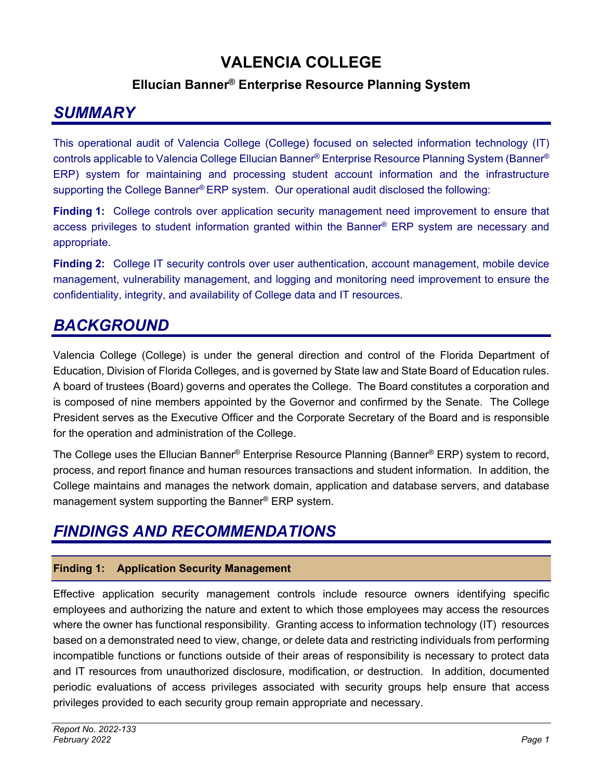### **VALENCIA COLLEGE**

### **Ellucian Banner® Enterprise Resource Planning System**

### *SUMMARY*

This operational audit of Valencia College (College) focused on selected information technology (IT) controls applicable to Valencia College Ellucian Banner® Enterprise Resource Planning System (Banner® ERP) system for maintaining and processing student account information and the infrastructure supporting the College Banner® ERP system. Our operational audit disclosed the following:

**Finding 1:** College controls over application security management need improvement to ensure that access privileges to student information granted within the Banner® ERP system are necessary and appropriate.

**Finding 2:** College IT security controls over user authentication, account management, mobile device management, vulnerability management, and logging and monitoring need improvement to ensure the confidentiality, integrity, and availability of College data and IT resources.

## **BACKGROUND**

Valencia College (College) is under the general direction and control of the Florida Department of Education, Division of Florida Colleges, and is governed by State law and State Board of Education rules. A board of trustees (Board) governs and operates the College. The Board constitutes a corporation and is composed of nine members appointed by the Governor and confirmed by the Senate. The College President serves as the Executive Officer and the Corporate Secretary of the Board and is responsible for the operation and administration of the College.

The College uses the Ellucian Banner® Enterprise Resource Planning (Banner® ERP) system to record, process, and report finance and human resources transactions and student information. In addition, the College maintains and manages the network domain, application and database servers, and database management system supporting the Banner® ERP system.

## *FINDINGS AND RECOMMENDATIONS*

### **Finding 1: Application Security Management**

Effective application security management controls include resource owners identifying specific employees and authorizing the nature and extent to which those employees may access the resources where the owner has functional responsibility. Granting access to information technology (IT) resources based on a demonstrated need to view, change, or delete data and restricting individuals from performing incompatible functions or functions outside of their areas of responsibility is necessary to protect data and IT resources from unauthorized disclosure, modification, or destruction. In addition, documented periodic evaluations of access privileges associated with security groups help ensure that access privileges provided to each security group remain appropriate and necessary.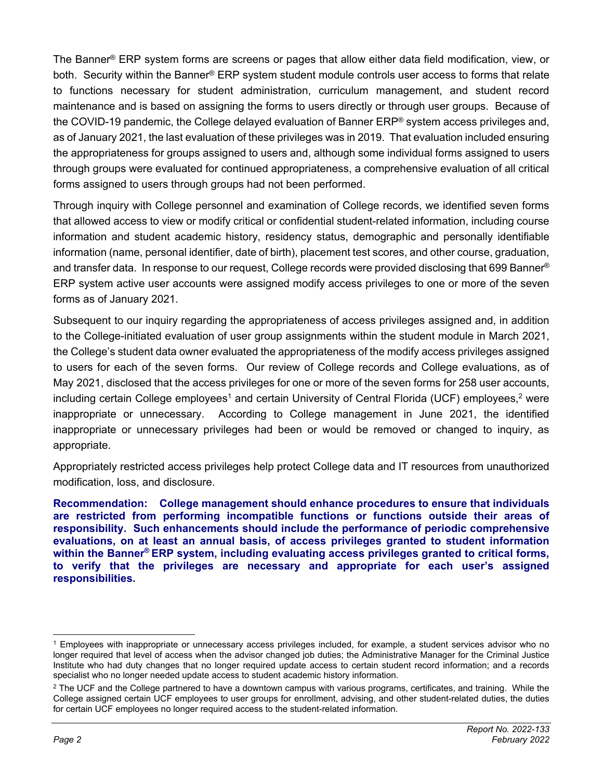The Banner® ERP system forms are screens or pages that allow either data field modification, view, or both. Security within the Banner® ERP system student module controls user access to forms that relate to functions necessary for student administration, curriculum management, and student record maintenance and is based on assigning the forms to users directly or through user groups. Because of the COVID-19 pandemic, the College delayed evaluation of Banner ERP® system access privileges and, as of January 2021, the last evaluation of these privileges was in 2019. That evaluation included ensuring the appropriateness for groups assigned to users and, although some individual forms assigned to users through groups were evaluated for continued appropriateness, a comprehensive evaluation of all critical forms assigned to users through groups had not been performed.

Through inquiry with College personnel and examination of College records, we identified seven forms that allowed access to view or modify critical or confidential student-related information, including course information and student academic history, residency status, demographic and personally identifiable information (name, personal identifier, date of birth), placement test scores, and other course, graduation, and transfer data. In response to our request, College records were provided disclosing that 699 Banner® ERP system active user accounts were assigned modify access privileges to one or more of the seven forms as of January 2021.

Subsequent to our inquiry regarding the appropriateness of access privileges assigned and, in addition to the College-initiated evaluation of user group assignments within the student module in March 2021, the College's student data owner evaluated the appropriateness of the modify access privileges assigned to users for each of the seven forms. Our review of College records and College evaluations, as of May 2021, disclosed that the access privileges for one or more of the seven forms for 258 user accounts, including certain College employees<sup>1</sup> and certain University of Central Florida (UCF) employees,<sup>2</sup> were inappropriate or unnecessary. According to College management in June 2021, the identified inappropriate or unnecessary privileges had been or would be removed or changed to inquiry, as appropriate.

Appropriately restricted access privileges help protect College data and IT resources from unauthorized modification, loss, and disclosure.

**Recommendation: College management should enhance procedures to ensure that individuals are restricted from performing incompatible functions or functions outside their areas of responsibility. Such enhancements should include the performance of periodic comprehensive evaluations, on at least an annual basis, of access privileges granted to student information within the Banner® ERP system, including evaluating access privileges granted to critical forms, to verify that the privileges are necessary and appropriate for each user's assigned responsibilities.** 

<sup>1</sup> Employees with inappropriate or unnecessary access privileges included, for example, a student services advisor who no longer required that level of access when the advisor changed job duties; the Administrative Manager for the Criminal Justice Institute who had duty changes that no longer required update access to certain student record information; and a records specialist who no longer needed update access to student academic history information.

<sup>&</sup>lt;sup>2</sup> The UCF and the College partnered to have a downtown campus with various programs, certificates, and training. While the College assigned certain UCF employees to user groups for enrollment, advising, and other student-related duties, the duties for certain UCF employees no longer required access to the student-related information.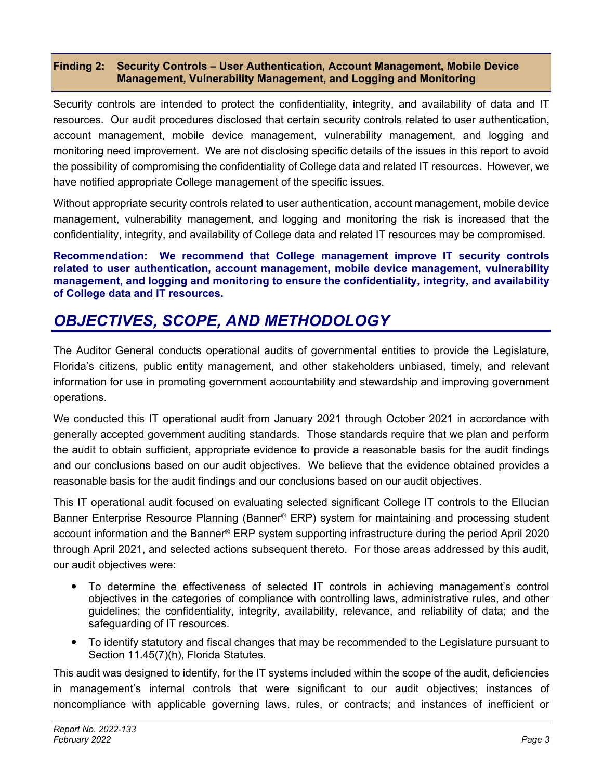### **Finding 2: Security Controls – User Authentication, Account Management, Mobile Device Management, Vulnerability Management, and Logging and Monitoring**

Security controls are intended to protect the confidentiality, integrity, and availability of data and IT resources. Our audit procedures disclosed that certain security controls related to user authentication, account management, mobile device management, vulnerability management, and logging and monitoring need improvement. We are not disclosing specific details of the issues in this report to avoid the possibility of compromising the confidentiality of College data and related IT resources. However, we have notified appropriate College management of the specific issues.

Without appropriate security controls related to user authentication, account management, mobile device management, vulnerability management, and logging and monitoring the risk is increased that the confidentiality, integrity, and availability of College data and related IT resources may be compromised.

**Recommendation: We recommend that College management improve IT security controls related to user authentication, account management, mobile device management, vulnerability management, and logging and monitoring to ensure the confidentiality, integrity, and availability of College data and IT resources.** 

## *OBJECTIVES, SCOPE, AND METHODOLOGY*

The Auditor General conducts operational audits of governmental entities to provide the Legislature, Florida's citizens, public entity management, and other stakeholders unbiased, timely, and relevant information for use in promoting government accountability and stewardship and improving government operations.

We conducted this IT operational audit from January 2021 through October 2021 in accordance with generally accepted government auditing standards. Those standards require that we plan and perform the audit to obtain sufficient, appropriate evidence to provide a reasonable basis for the audit findings and our conclusions based on our audit objectives. We believe that the evidence obtained provides a reasonable basis for the audit findings and our conclusions based on our audit objectives.

This IT operational audit focused on evaluating selected significant College IT controls to the Ellucian Banner Enterprise Resource Planning (Banner® ERP) system for maintaining and processing student account information and the Banner® ERP system supporting infrastructure during the period April 2020 through April 2021, and selected actions subsequent thereto. For those areas addressed by this audit, our audit objectives were:

- To determine the effectiveness of selected IT controls in achieving management's control objectives in the categories of compliance with controlling laws, administrative rules, and other guidelines; the confidentiality, integrity, availability, relevance, and reliability of data; and the safeguarding of IT resources.
- To identify statutory and fiscal changes that may be recommended to the Legislature pursuant to Section 11.45(7)(h), Florida Statutes.

This audit was designed to identify, for the IT systems included within the scope of the audit, deficiencies in management's internal controls that were significant to our audit objectives; instances of noncompliance with applicable governing laws, rules, or contracts; and instances of inefficient or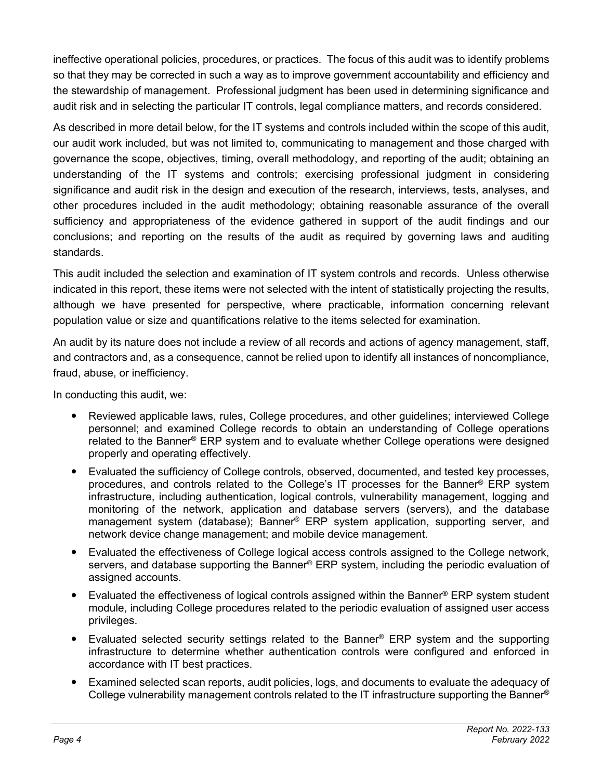ineffective operational policies, procedures, or practices. The focus of this audit was to identify problems so that they may be corrected in such a way as to improve government accountability and efficiency and the stewardship of management. Professional judgment has been used in determining significance and audit risk and in selecting the particular IT controls, legal compliance matters, and records considered.

As described in more detail below, for the IT systems and controls included within the scope of this audit, our audit work included, but was not limited to, communicating to management and those charged with governance the scope, objectives, timing, overall methodology, and reporting of the audit; obtaining an understanding of the IT systems and controls; exercising professional judgment in considering significance and audit risk in the design and execution of the research, interviews, tests, analyses, and other procedures included in the audit methodology; obtaining reasonable assurance of the overall sufficiency and appropriateness of the evidence gathered in support of the audit findings and our conclusions; and reporting on the results of the audit as required by governing laws and auditing standards.

This audit included the selection and examination of IT system controls and records. Unless otherwise indicated in this report, these items were not selected with the intent of statistically projecting the results, although we have presented for perspective, where practicable, information concerning relevant population value or size and quantifications relative to the items selected for examination.

An audit by its nature does not include a review of all records and actions of agency management, staff, and contractors and, as a consequence, cannot be relied upon to identify all instances of noncompliance, fraud, abuse, or inefficiency.

In conducting this audit, we:

- Reviewed applicable laws, rules, College procedures, and other guidelines; interviewed College personnel; and examined College records to obtain an understanding of College operations related to the Banner® ERP system and to evaluate whether College operations were designed properly and operating effectively.
- Evaluated the sufficiency of College controls, observed, documented, and tested key processes, procedures, and controls related to the College's IT processes for the Banner® ERP system infrastructure, including authentication, logical controls, vulnerability management, logging and monitoring of the network, application and database servers (servers), and the database management system (database); Banner<sup>®</sup> ERP system application, supporting server, and network device change management; and mobile device management.
- Evaluated the effectiveness of College logical access controls assigned to the College network, servers, and database supporting the Banner® ERP system, including the periodic evaluation of assigned accounts.
- Evaluated the effectiveness of logical controls assigned within the Banner® ERP system student module, including College procedures related to the periodic evaluation of assigned user access privileges.
- Evaluated selected security settings related to the Banner<sup>®</sup> ERP system and the supporting infrastructure to determine whether authentication controls were configured and enforced in accordance with IT best practices.
- Examined selected scan reports, audit policies, logs, and documents to evaluate the adequacy of College vulnerability management controls related to the IT infrastructure supporting the Banner<sup>®</sup>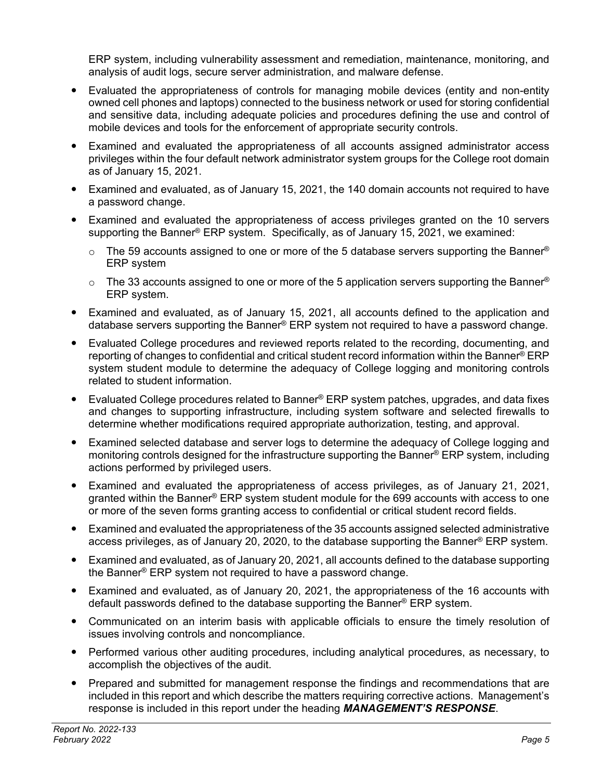ERP system, including vulnerability assessment and remediation, maintenance, monitoring, and analysis of audit logs, secure server administration, and malware defense.

- Evaluated the appropriateness of controls for managing mobile devices (entity and non-entity owned cell phones and laptops) connected to the business network or used for storing confidential and sensitive data, including adequate policies and procedures defining the use and control of mobile devices and tools for the enforcement of appropriate security controls.
- Examined and evaluated the appropriateness of all accounts assigned administrator access privileges within the four default network administrator system groups for the College root domain as of January 15, 2021.
- Examined and evaluated, as of January 15, 2021, the 140 domain accounts not required to have a password change.
- Examined and evaluated the appropriateness of access privileges granted on the 10 servers supporting the Banner® ERP system. Specifically, as of January 15, 2021, we examined:
	- $\circ$  The 59 accounts assigned to one or more of the 5 database servers supporting the Banner® ERP system
	- $\circ$  The 33 accounts assigned to one or more of the 5 application servers supporting the Banner® ERP system.
- Examined and evaluated, as of January 15, 2021, all accounts defined to the application and database servers supporting the Banner<sup>®</sup> ERP system not required to have a password change.
- Evaluated College procedures and reviewed reports related to the recording, documenting, and reporting of changes to confidential and critical student record information within the Banner® ERP system student module to determine the adequacy of College logging and monitoring controls related to student information.
- Evaluated College procedures related to Banner<sup>®</sup> ERP system patches, upgrades, and data fixes and changes to supporting infrastructure, including system software and selected firewalls to determine whether modifications required appropriate authorization, testing, and approval.
- Examined selected database and server logs to determine the adequacy of College logging and monitoring controls designed for the infrastructure supporting the Banner® ERP system, including actions performed by privileged users.
- Examined and evaluated the appropriateness of access privileges, as of January 21, 2021, granted within the Banner® ERP system student module for the 699 accounts with access to one or more of the seven forms granting access to confidential or critical student record fields.
- Examined and evaluated the appropriateness of the 35 accounts assigned selected administrative access privileges, as of January 20, 2020, to the database supporting the Banner® ERP system.
- Examined and evaluated, as of January 20, 2021, all accounts defined to the database supporting the Banner® ERP system not required to have a password change.
- Examined and evaluated, as of January 20, 2021, the appropriateness of the 16 accounts with default passwords defined to the database supporting the Banner® ERP system.
- Communicated on an interim basis with applicable officials to ensure the timely resolution of issues involving controls and noncompliance.
- Performed various other auditing procedures, including analytical procedures, as necessary, to accomplish the objectives of the audit.
- Prepared and submitted for management response the findings and recommendations that are included in this report and which describe the matters requiring corrective actions. Management's response is included in this report under the heading *MANAGEMENT'S RESPONSE*.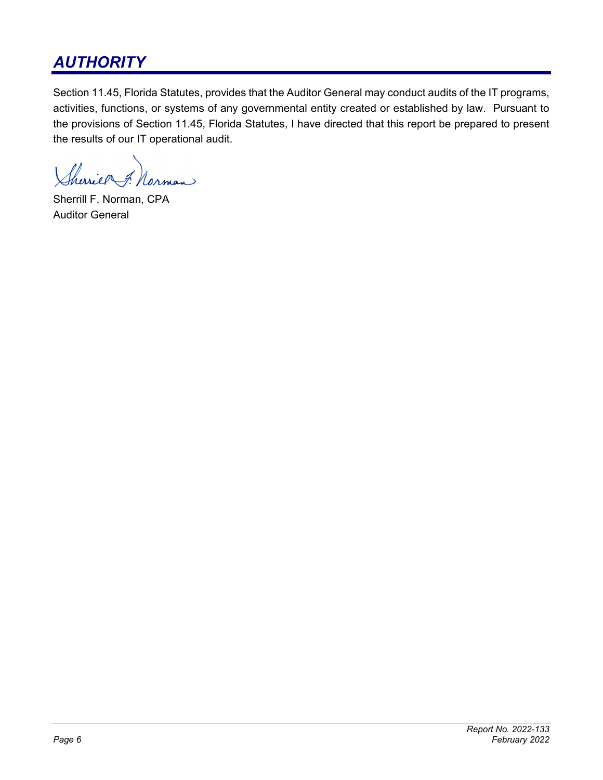# *AUTHORITY*

Section 11.45, Florida Statutes, provides that the Auditor General may conduct audits of the IT programs, activities, functions, or systems of any governmental entity created or established by law. Pursuant to the provisions of Section 11.45, Florida Statutes, I have directed that this report be prepared to present the results of our IT operational audit.

harier Norman

Sherrill F. Norman, CPA Auditor General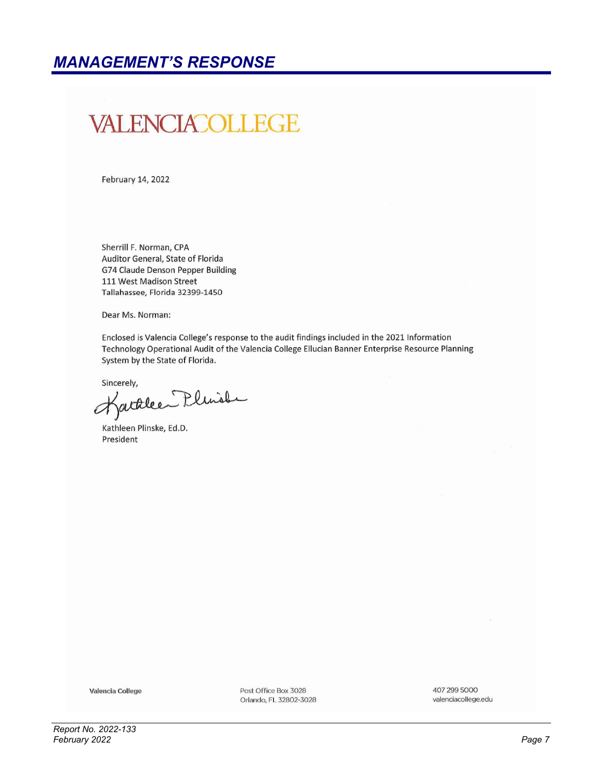# VALENCIACOLLEGE

February 14, 2022

Sherrill F. Norman, CPA Auditor General, State of Florida G74 Claude Denson Pepper Building 111 West Madison Street Tallahassee, Florida 32399-1450

Dear Ms. Norman:

Enclosed is Valencia College's response to the audit findings included in the 2021 Information Technology Operational Audit of the Valencia College Ellucian Banner Enterprise Resource Planning System by the State of Florida.

Sincerely,

factuleen Plunche Ħ

Kathleen Plinske, Ed.D. President

Valencia College

Post Office Box 3028 Orlando, FL 32802-3028 407 299 5000 valenciacollege.edu